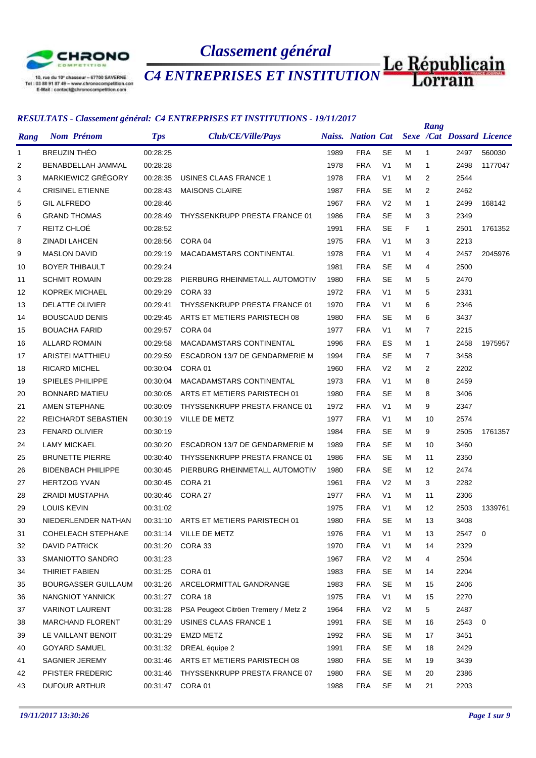

10, rue du 10° chasseur - 57700 SAVERNE<br>Tel : 03 88 91 87 49 - www.chronocompetition.com<br>E-Mail : contact@chronocompetition.com

# *Classement général*

*CA ENTREPRISES ET INSTITUTION* Le Républicain

|      |                            |            | <u>RESULTATS • Caissement general. C4 ENTREI RISES ET INSTITUTIONS • 19/11/2017</u> |      |            |                |   | Rang           |                                             |         |
|------|----------------------------|------------|-------------------------------------------------------------------------------------|------|------------|----------------|---|----------------|---------------------------------------------|---------|
| Rang | <b>Nom Prénom</b>          | <b>Tps</b> | Club/CE/Ville/Pays                                                                  |      |            |                |   |                | Naiss. Nation Cat Sexe /Cat Dossard Licence |         |
| 1    | <b>BREUZIN THÉO</b>        | 00:28:25   |                                                                                     | 1989 | <b>FRA</b> | SE             | м | $\mathbf 1$    | 2497                                        | 560030  |
| 2    | BENABDELLAH JAMMAL         | 00:28:28   |                                                                                     | 1978 | <b>FRA</b> | V <sub>1</sub> | м | $\mathbf{1}$   | 2498                                        | 1177047 |
| 3    | MARKIEWICZ GRÉGORY         | 00:28:35   | <b>USINES CLAAS FRANCE 1</b>                                                        | 1978 | <b>FRA</b> | V <sub>1</sub> | м | $\overline{2}$ | 2544                                        |         |
| 4    | <b>CRISINEL ETIENNE</b>    | 00:28:43   | <b>MAISONS CLAIRE</b>                                                               | 1987 | <b>FRA</b> | <b>SE</b>      | м | $\overline{2}$ | 2462                                        |         |
| 5    | <b>GIL ALFREDO</b>         | 00:28:46   |                                                                                     | 1967 | <b>FRA</b> | V <sub>2</sub> | м | $\mathbf{1}$   | 2499                                        | 168142  |
| 6    | <b>GRAND THOMAS</b>        | 00:28:49   | THYSSENKRUPP PRESTA FRANCE 01                                                       | 1986 | <b>FRA</b> | <b>SE</b>      | м | 3              | 2349                                        |         |
| 7    | REITZ CHLOÉ                | 00:28:52   |                                                                                     | 1991 | <b>FRA</b> | <b>SE</b>      | F | 1              | 2501                                        | 1761352 |
| 8    | <b>ZINADI LAHCEN</b>       | 00:28:56   | CORA <sub>04</sub>                                                                  | 1975 | <b>FRA</b> | V <sub>1</sub> | м | 3              | 2213                                        |         |
| 9    | <b>MASLON DAVID</b>        | 00:29:19   | MACADAMSTARS CONTINENTAL                                                            | 1978 | <b>FRA</b> | V <sub>1</sub> | м | 4              | 2457                                        | 2045976 |
| 10   | <b>BOYER THIBAULT</b>      | 00:29:24   |                                                                                     | 1981 | <b>FRA</b> | <b>SE</b>      | м | 4              | 2500                                        |         |
| 11   | <b>SCHMIT ROMAIN</b>       | 00:29:28   | PIERBURG RHEINMETALL AUTOMOTIV                                                      | 1980 | <b>FRA</b> | <b>SE</b>      | м | 5              | 2470                                        |         |
| 12   | <b>KOPREK MICHAEL</b>      | 00:29:29   | CORA 33                                                                             | 1972 | <b>FRA</b> | V <sub>1</sub> | м | 5              | 2331                                        |         |
| 13   | DELATTE OLIVIER            | 00:29:41   | THYSSENKRUPP PRESTA FRANCE 01                                                       | 1970 | <b>FRA</b> | V <sub>1</sub> | м | 6              | 2346                                        |         |
| 14   | <b>BOUSCAUD DENIS</b>      | 00:29:45   | ARTS ET METIERS PARISTECH 08                                                        | 1980 | <b>FRA</b> | <b>SE</b>      | м | 6              | 3437                                        |         |
| 15   | <b>BOUACHA FARID</b>       | 00:29:57   | CORA 04                                                                             | 1977 | <b>FRA</b> | V <sub>1</sub> | м | 7              | 2215                                        |         |
| 16   | <b>ALLARD ROMAIN</b>       | 00:29:58   | MACADAMSTARS CONTINENTAL                                                            | 1996 | <b>FRA</b> | ES             | м | $\mathbf{1}$   | 2458                                        | 1975957 |
| 17   | ARISTEI MATTHIEU           | 00:29:59   | ESCADRON 13/7 DE GENDARMERIE M                                                      | 1994 | <b>FRA</b> | <b>SE</b>      | м | $\overline{7}$ | 3458                                        |         |
| 18   | RICARD MICHEL              | 00:30:04   | CORA 01                                                                             | 1960 | <b>FRA</b> | V <sub>2</sub> | м | $\overline{2}$ | 2202                                        |         |
| 19   | <b>SPIELES PHILIPPE</b>    | 00:30:04   | MACADAMSTARS CONTINENTAL                                                            | 1973 | <b>FRA</b> | V <sub>1</sub> | м | 8              | 2459                                        |         |
| 20   | <b>BONNARD MATIEU</b>      | 00:30:05   | ARTS ET METIERS PARISTECH 01                                                        | 1980 | <b>FRA</b> | SE             | м | 8              | 3406                                        |         |
| 21   | AMEN STEPHANE              | 00:30:09   | THYSSENKRUPP PRESTA FRANCE 01                                                       | 1972 | <b>FRA</b> | V <sub>1</sub> | м | 9              | 2347                                        |         |
| 22   | REICHARDT SEBASTIEN        | 00:30:19   | VILLE DE METZ                                                                       | 1977 | <b>FRA</b> | V <sub>1</sub> | м | 10             | 2574                                        |         |
| 23   | <b>FENARD OLIVIER</b>      | 00:30:19   |                                                                                     | 1984 | <b>FRA</b> | <b>SE</b>      | м | 9              | 2505                                        | 1761357 |
| 24   | <b>LAMY MICKAEL</b>        | 00:30:20   | ESCADRON 13/7 DE GENDARMERIE M                                                      | 1989 | <b>FRA</b> | <b>SE</b>      | м | 10             | 3460                                        |         |
| 25   | <b>BRUNETTE PIERRE</b>     | 00:30:40   | THYSSENKRUPP PRESTA FRANCE 01                                                       | 1986 | <b>FRA</b> | <b>SE</b>      | м | 11             | 2350                                        |         |
| 26   | <b>BIDENBACH PHILIPPE</b>  | 00:30:45   | PIERBURG RHEINMETALL AUTOMOTIV                                                      | 1980 | <b>FRA</b> | <b>SE</b>      | м | 12             | 2474                                        |         |
| 27   | <b>HERTZOG YVAN</b>        | 00:30:45   | CORA 21                                                                             | 1961 | <b>FRA</b> | V <sub>2</sub> | м | 3              | 2282                                        |         |
| 28   | <b>ZRAIDI MUSTAPHA</b>     | 00:30:46   | CORA 27                                                                             | 1977 | <b>FRA</b> | V <sub>1</sub> | м | 11             | 2306                                        |         |
| 29   | LOUIS KEVIN                | 00:31:02   |                                                                                     | 1975 | <b>FRA</b> | V <sub>1</sub> | м | 12             | 2503                                        | 1339761 |
| 30   | NIEDERLENDER NATHAN        |            | 00:31:10 ARTS ET METIERS PARISTECH 01                                               | 1980 | <b>FRA</b> | <b>SE</b>      | м | 13             | 3408                                        |         |
| 31   | <b>COHELEACH STEPHANE</b>  |            | 00:31:14 VILLE DE METZ                                                              | 1976 | <b>FRA</b> | V <sub>1</sub> | м | 13             | 2547 0                                      |         |
| 32   | <b>DAVID PATRICK</b>       | 00:31:20   | CORA 33                                                                             | 1970 | <b>FRA</b> | V <sub>1</sub> | м | 14             | 2329                                        |         |
| 33   | SMANIOTTO SANDRO           | 00:31:23   |                                                                                     | 1967 | <b>FRA</b> | V <sub>2</sub> | М | 4              | 2504                                        |         |
| 34   | THIRIET FABIEN             | 00:31:25   | CORA 01                                                                             | 1983 | <b>FRA</b> | SE             | М | 14             | 2204                                        |         |
| 35   | <b>BOURGASSER GUILLAUM</b> | 00:31:26   | ARCELORMITTAL GANDRANGE                                                             | 1983 | <b>FRA</b> | SE             | м | 15             | 2406                                        |         |
| 36   | NANGNIOT YANNICK           | 00:31:27   | CORA 18                                                                             | 1975 | <b>FRA</b> | V <sub>1</sub> | М | 15             | 2270                                        |         |
| 37   | VARINOT LAURENT            | 00:31:28   | PSA Peugeot Citröen Tremery / Metz 2                                                | 1964 | <b>FRA</b> | V <sub>2</sub> | М | 5              | 2487                                        |         |
| 38   | <b>MARCHAND FLORENT</b>    | 00:31:29   | <b>USINES CLAAS FRANCE 1</b>                                                        | 1991 | <b>FRA</b> | <b>SE</b>      | М | 16             | 2543                                        | 0       |
| 39   | LE VAILLANT BENOIT         | 00:31:29   | <b>EMZD METZ</b>                                                                    | 1992 | <b>FRA</b> | <b>SE</b>      | М | 17             | 3451                                        |         |
| 40   | <b>GOYARD SAMUEL</b>       | 00:31:32   | DREAL équipe 2                                                                      | 1991 | <b>FRA</b> | SE             | м | 18             | 2429                                        |         |
| 41   | SAGNIER JEREMY             | 00:31:46   | ARTS ET METIERS PARISTECH 08                                                        | 1980 | <b>FRA</b> | SE             | М | 19             | 3439                                        |         |
| 42   | PFISTER FREDERIC           | 00:31:46   | THYSSENKRUPP PRESTA FRANCE 07                                                       | 1980 | <b>FRA</b> | SE             | М | 20             | 2386                                        |         |
| 43   | DUFOUR ARTHUR              | 00:31:47   | CORA 01                                                                             | 1988 | <b>FRA</b> | <b>SE</b>      | м | 21             | 2203                                        |         |
|      |                            |            |                                                                                     |      |            |                |   |                |                                             |         |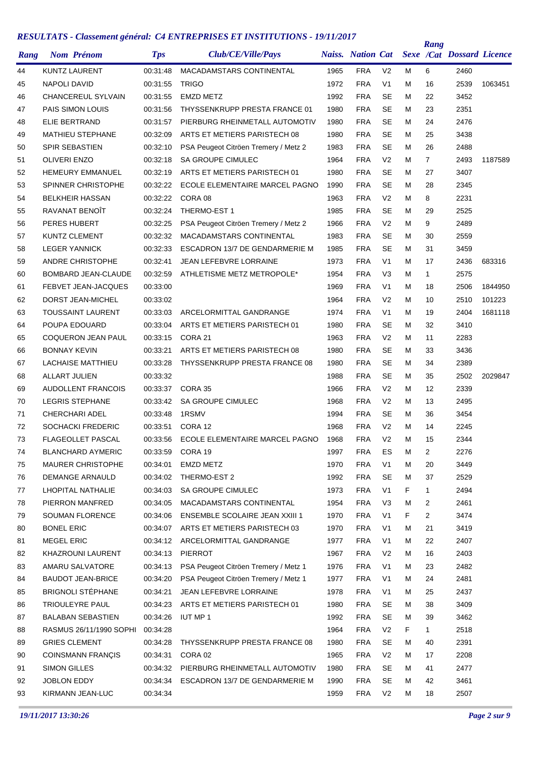| Rang |                     | <b>Nom Prénom</b>          | <b>Tps</b> | Club/CE/Ville/Pays                    |      | <b>Naiss.</b> Nation Cat |                |    | Rang           | Sexe /Cat Dossard Licence |         |
|------|---------------------|----------------------------|------------|---------------------------------------|------|--------------------------|----------------|----|----------------|---------------------------|---------|
| 44   |                     | <b>KUNTZ LAURENT</b>       | 00:31:48   | MACADAMSTARS CONTINENTAL              | 1965 | <b>FRA</b>               | V <sub>2</sub> | м  | 6              | 2460                      |         |
| 45   | NAPOLI DAVID        |                            | 00:31:55   | <b>TRIGO</b>                          | 1972 | <b>FRA</b>               | V <sub>1</sub> | м  | 16             | 2539                      | 1063451 |
| 46   |                     | <b>CHANCEREUL SYLVAIN</b>  | 00:31:55   | <b>EMZD METZ</b>                      | 1992 | <b>FRA</b>               | <b>SE</b>      | м  | 22             | 3452                      |         |
| 47   |                     | PAIS SIMON LOUIS           | 00:31:56   | THYSSENKRUPP PRESTA FRANCE 01         | 1980 | <b>FRA</b>               | <b>SE</b>      | м  | 23             | 2351                      |         |
| 48   |                     | ELIE BERTRAND              | 00:31:57   | PIERBURG RHEINMETALL AUTOMOTIV        | 1980 | <b>FRA</b>               | <b>SE</b>      | м  | 24             | 2476                      |         |
| 49   |                     | <b>MATHIEU STEPHANE</b>    | 00:32:09   | ARTS ET METIERS PARISTECH 08          | 1980 | <b>FRA</b>               | <b>SE</b>      | м  | 25             | 3438                      |         |
| 50   |                     | <b>SPIR SEBASTIEN</b>      | 00:32:10   | PSA Peugeot Citröen Tremery / Metz 2  | 1983 | <b>FRA</b>               | <b>SE</b>      | м  | 26             | 2488                      |         |
| 51   | <b>OLIVERI ENZO</b> |                            | 00:32:18   | <b>SA GROUPE CIMULEC</b>              | 1964 | <b>FRA</b>               | V <sub>2</sub> | м  | $\overline{7}$ | 2493                      | 1187589 |
| 52   |                     | <b>HEMEURY EMMANUEL</b>    | 00:32:19   | ARTS ET METIERS PARISTECH 01          | 1980 | <b>FRA</b>               | <b>SE</b>      | M  | 27             | 3407                      |         |
| 53   |                     | <b>SPINNER CHRISTOPHE</b>  | 00:32:22   | ECOLE ELEMENTAIRE MARCEL PAGNO        | 1990 | <b>FRA</b>               | <b>SE</b>      | м  | 28             | 2345                      |         |
| 54   |                     | <b>BELKHEIR HASSAN</b>     | 00:32:22   | CORA 08                               | 1963 | <b>FRA</b>               | V <sub>2</sub> | м  | 8              | 2231                      |         |
| 55   |                     | RAVANAT BENOÎT             | 00:32:24   | THERMO-EST 1                          | 1985 | <b>FRA</b>               | SE             | м  | 29             | 2525                      |         |
| 56   | PERES HUBERT        |                            | 00:32:25   | PSA Peugeot Citröen Tremery / Metz 2  | 1966 | <b>FRA</b>               | V <sub>2</sub> | м  | 9              | 2489                      |         |
| 57   |                     | <b>KUNTZ CLEMENT</b>       | 00:32:32   | MACADAMSTARS CONTINENTAL              | 1983 | <b>FRA</b>               | <b>SE</b>      | м  | 30             | 2559                      |         |
| 58   |                     | <b>LEGER YANNICK</b>       | 00:32:33   | ESCADRON 13/7 DE GENDARMERIE M        | 1985 | <b>FRA</b>               | <b>SE</b>      | м  | 31             | 3459                      |         |
| 59   |                     | <b>ANDRE CHRISTOPHE</b>    | 00:32:41   | <b>JEAN LEFEBVRE LORRAINE</b>         | 1973 | <b>FRA</b>               | V <sub>1</sub> | м  | 17             | 2436                      | 683316  |
| 60   |                     | <b>BOMBARD JEAN-CLAUDE</b> | 00:32:59   | ATHLETISME METZ METROPOLE*            | 1954 | <b>FRA</b>               | V <sub>3</sub> | м  | 1              | 2575                      |         |
| 61   |                     | <b>FEBVET JEAN-JACQUES</b> | 00:33:00   |                                       | 1969 | <b>FRA</b>               | V <sub>1</sub> | м  | 18             | 2506                      | 1844950 |
| 62   |                     | DORST JEAN-MICHEL          | 00:33:02   |                                       | 1964 | <b>FRA</b>               | V <sub>2</sub> | м  | 10             | 2510                      | 101223  |
| 63   |                     | TOUSSAINT LAURENT          | 00:33:03   | ARCELORMITTAL GANDRANGE               | 1974 | <b>FRA</b>               | V <sub>1</sub> | M  | 19             | 2404                      | 1681118 |
| 64   |                     | POUPA EDOUARD              | 00:33:04   | ARTS ET METIERS PARISTECH 01          | 1980 | <b>FRA</b>               | <b>SE</b>      | м  | 32             | 3410                      |         |
| 65   |                     | <b>COQUERON JEAN PAUL</b>  | 00:33:15   | CORA 21                               | 1963 | <b>FRA</b>               | V <sub>2</sub> | м  | 11             | 2283                      |         |
| 66   | <b>BONNAY KEVIN</b> |                            | 00:33:21   | ARTS ET METIERS PARISTECH 08          | 1980 | <b>FRA</b>               | SE             | м  | 33             | 3436                      |         |
| 67   |                     | <b>LACHAISE MATTHIEU</b>   | 00:33:28   | THYSSENKRUPP PRESTA FRANCE 08         | 1980 | <b>FRA</b>               | <b>SE</b>      | м  | 34             | 2389                      |         |
| 68   | ALLART JULIEN       |                            | 00:33:32   |                                       | 1988 | <b>FRA</b>               | <b>SE</b>      | м  | 35             | 2502                      | 2029847 |
| 69   |                     | <b>AUDOLLENT FRANCOIS</b>  | 00:33:37   | CORA 35                               | 1966 | <b>FRA</b>               | V <sub>2</sub> | м  | 12             | 2339                      |         |
| 70   |                     | <b>LEGRIS STEPHANE</b>     | 00:33:42   | <b>SA GROUPE CIMULEC</b>              | 1968 | <b>FRA</b>               | V <sub>2</sub> | м  | 13             | 2495                      |         |
| 71   |                     | <b>CHERCHARI ADEL</b>      | 00:33:48   | 1RSMV                                 | 1994 | <b>FRA</b>               | <b>SE</b>      | м  | 36             | 3454                      |         |
| 72   |                     | SOCHACKI FREDERIC          | 00:33:51   | CORA 12                               | 1968 | <b>FRA</b>               | V <sub>2</sub> | м  | 14             | 2245                      |         |
| 73   |                     | <b>FLAGEOLLET PASCAL</b>   | 00:33:56   | ECOLE ELEMENTAIRE MARCEL PAGNO        | 1968 | <b>FRA</b>               | V <sub>2</sub> | M  | 15             | 2344                      |         |
| 74   |                     | <b>BLANCHARD AYMERIC</b>   | 00:33:59   | CORA 19                               | 1997 | <b>FRA</b>               | ES             | М  | 2              | 2276                      |         |
| 75   |                     | <b>MAURER CHRISTOPHE</b>   | 00:34:01   | <b>EMZD METZ</b>                      | 1970 | <b>FRA</b>               | V <sub>1</sub> | м  | 20             | 3449                      |         |
| 76   |                     | DEMANGE ARNAULD            | 00:34:02   | THERMO-EST 2                          | 1992 | <b>FRA</b>               | <b>SE</b>      | M  | 37             | 2529                      |         |
| 77   |                     | LHOPITAL NATHALIE          | 00:34:03   | SA GROUPE CIMULEC                     | 1973 | <b>FRA</b>               | V <sub>1</sub> | F. | $\mathbf{1}$   | 2494                      |         |
| 78   |                     | PIERRON MANFRED            | 00:34:05   | MACADAMSTARS CONTINENTAL              | 1954 | <b>FRA</b>               | V <sub>3</sub> | M  | $\overline{c}$ | 2461                      |         |
| 79   |                     | SOUMAN FLORENCE            | 00:34:06   | <b>ENSEMBLE SCOLAIRE JEAN XXIII 1</b> | 1970 | <b>FRA</b>               | V <sub>1</sub> | F  | 2              | 3474                      |         |
| 80   | <b>BONEL ERIC</b>   |                            | 00:34:07   | ARTS ET METIERS PARISTECH 03          | 1970 | <b>FRA</b>               | V <sub>1</sub> | M  | 21             | 3419                      |         |
| 81   | <b>MEGEL ERIC</b>   |                            | 00:34:12   | ARCELORMITTAL GANDRANGE               | 1977 | <b>FRA</b>               | V <sub>1</sub> | M  | 22             | 2407                      |         |
| 82   |                     | KHAZROUNI LAURENT          | 00:34:13   | PIERROT                               | 1967 | <b>FRA</b>               | V <sub>2</sub> | м  | 16             | 2403                      |         |
| 83   |                     | AMARU SALVATORE            | 00:34:13   | PSA Peugeot Citröen Tremery / Metz 1  | 1976 | <b>FRA</b>               | V <sub>1</sub> | м  | 23             | 2482                      |         |
| 84   |                     | <b>BAUDOT JEAN-BRICE</b>   | 00:34:20   | PSA Peugeot Citröen Tremery / Metz 1  | 1977 | <b>FRA</b>               | V <sub>1</sub> | м  | 24             | 2481                      |         |
| 85   |                     | <b>BRIGNOLI STÉPHANE</b>   | 00:34:21   | JEAN LEFEBVRE LORRAINE                | 1978 | <b>FRA</b>               | V <sub>1</sub> | м  | 25             | 2437                      |         |
| 86   |                     | TRIOULEYRE PAUL            | 00:34:23   | ARTS ET METIERS PARISTECH 01          | 1980 | <b>FRA</b>               | <b>SE</b>      | м  | 38             | 3409                      |         |
| 87   |                     | <b>BALABAN SEBASTIEN</b>   | 00:34:26   | IUT MP 1                              | 1992 | <b>FRA</b>               | SE             | M  | 39             | 3462                      |         |
| 88   |                     | RASMUS 26/11/1990 SOPHI    | 00:34:28   |                                       | 1964 | <b>FRA</b>               | V <sub>2</sub> | F  | 1              | 2518                      |         |
| 89   |                     | <b>GRIES CLEMENT</b>       | 00:34:28   | THYSSENKRUPP PRESTA FRANCE 08         | 1980 | <b>FRA</b>               | <b>SE</b>      | м  | 40             | 2391                      |         |
| 90   |                     | <b>COINSMANN FRANÇIS</b>   | 00:34:31   | CORA 02                               | 1965 | <b>FRA</b>               | V <sub>2</sub> | м  | 17             | 2208                      |         |
| 91   | <b>SIMON GILLES</b> |                            | 00:34:32   | PIERBURG RHEINMETALL AUTOMOTIV        | 1980 | <b>FRA</b>               | <b>SE</b>      | м  | 41             | 2477                      |         |
| 92   | JOBLON EDDY         |                            | 00:34:34   | ESCADRON 13/7 DE GENDARMERIE M        | 1990 | <b>FRA</b>               | <b>SE</b>      | м  | 42             | 3461                      |         |
| 93   |                     | KIRMANN JEAN-LUC           | 00:34:34   |                                       | 1959 | <b>FRA</b>               | V <sub>2</sub> | м  | 18             | 2507                      |         |
|      |                     |                            |            |                                       |      |                          |                |    |                |                           |         |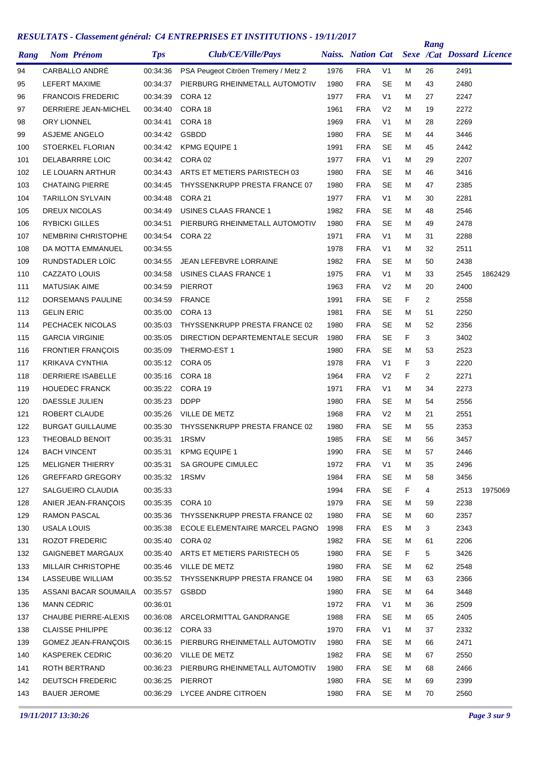| Rang | <b>Nom Prénom</b>          | <b>Tps</b>     | Club/CE/Ville/Pays                   |      | <b>Naiss.</b> Nation Cat |                |    | Rang           | <b>Sexe /Cat Dossard Licence</b> |         |
|------|----------------------------|----------------|--------------------------------------|------|--------------------------|----------------|----|----------------|----------------------------------|---------|
| 94   | CARBALLO ANDRÉ             | 00:34:36       | PSA Peugeot Citröen Tremery / Metz 2 | 1976 | <b>FRA</b>               | V <sub>1</sub> | м  | 26             | 2491                             |         |
| 95   | LEFERT MAXIME              | 00:34:37       | PIERBURG RHEINMETALL AUTOMOTIV       | 1980 | <b>FRA</b>               | SE             | м  | 43             | 2480                             |         |
| 96   | <b>FRANCOIS FREDERIC</b>   | 00:34:39       | CORA 12                              | 1977 | <b>FRA</b>               | V <sub>1</sub> | м  | 27             | 2247                             |         |
| 97   | DERRIERE JEAN-MICHEL       | 00:34:40       | CORA 18                              | 1961 | <b>FRA</b>               | V <sub>2</sub> | м  | 19             | 2272                             |         |
| 98   | <b>ORY LIONNEL</b>         | 00:34:41       | CORA 18                              | 1969 | <b>FRA</b>               | V <sub>1</sub> | м  | 28             | 2269                             |         |
| 99   | <b>ASJEME ANGELO</b>       | 00:34:42       | <b>GSBDD</b>                         | 1980 | <b>FRA</b>               | <b>SE</b>      | м  | 44             | 3446                             |         |
| 100  | <b>STOERKEL FLORIAN</b>    | 00:34:42       | <b>KPMG EQUIPE 1</b>                 | 1991 | <b>FRA</b>               | <b>SE</b>      | м  | 45             | 2442                             |         |
| 101  | <b>DELABARRRE LOIC</b>     | 00:34:42       | CORA 02                              | 1977 | <b>FRA</b>               | V <sub>1</sub> | М  | 29             | 2207                             |         |
| 102  | LE LOUARN ARTHUR           | 00:34:43       | ARTS ET METIERS PARISTECH 03         | 1980 | <b>FRA</b>               | SE             | м  | 46             | 3416                             |         |
| 103  | <b>CHATAING PIERRE</b>     | 00:34:45       | THYSSENKRUPP PRESTA FRANCE 07        | 1980 | <b>FRA</b>               | <b>SE</b>      | м  | 47             | 2385                             |         |
| 104  | <b>TARILLON SYLVAIN</b>    | 00:34:48       | CORA 21                              | 1977 | <b>FRA</b>               | V <sub>1</sub> | м  | 30             | 2281                             |         |
| 105  | DREUX NICOLAS              | 00:34:49       | USINES CLAAS FRANCE 1                | 1982 | <b>FRA</b>               | SE             | м  | 48             | 2546                             |         |
| 106  | <b>RYBICKI GILLES</b>      | 00:34:51       | PIERBURG RHEINMETALL AUTOMOTIV       | 1980 | <b>FRA</b>               | <b>SE</b>      | м  | 49             | 2478                             |         |
| 107  | <b>NEMBRINI CHRISTOPHE</b> | 00:34:54       | CORA 22                              | 1971 | <b>FRA</b>               | V <sub>1</sub> | м  | 31             | 2288                             |         |
| 108  | DA MOTTA EMMANUEL          | 00:34:55       |                                      | 1978 | <b>FRA</b>               | V <sub>1</sub> | м  | 32             | 2511                             |         |
| 109  | RUNDSTADLER LOIC           | 00:34:55       | JEAN LEFEBVRE LORRAINE               | 1982 | <b>FRA</b>               | SE             | м  | 50             | 2438                             |         |
| 110  | CAZZATO LOUIS              | 00:34:58       | USINES CLAAS FRANCE 1                | 1975 | <b>FRA</b>               | V <sub>1</sub> | м  | 33             | 2545                             | 1862429 |
| 111  | <b>MATUSIAK AIME</b>       | 00:34:59       | <b>PIERROT</b>                       | 1963 | <b>FRA</b>               | V <sub>2</sub> | м  | 20             | 2400                             |         |
| 112  | DORSEMANS PAULINE          | 00:34:59       | <b>FRANCE</b>                        | 1991 | <b>FRA</b>               | SE             | F  | $\overline{2}$ | 2558                             |         |
| 113  | <b>GELIN ERIC</b>          | 00:35:00       | CORA 13                              | 1981 | <b>FRA</b>               | <b>SE</b>      | м  | 51             | 2250                             |         |
| 114  | PECHACEK NICOLAS           | 00:35:03       | THYSSENKRUPP PRESTA FRANCE 02        | 1980 | <b>FRA</b>               | <b>SE</b>      | м  | 52             | 2356                             |         |
| 115  | <b>GARCIA VIRGINIE</b>     | 00:35:05       | DIRECTION DEPARTEMENTALE SECUR       | 1980 | <b>FRA</b>               | <b>SE</b>      | F  | 3              | 3402                             |         |
| 116  | <b>FRONTIER FRANÇOIS</b>   | 00:35:09       | THERMO-EST 1                         | 1980 | <b>FRA</b>               | <b>SE</b>      | м  | 53             | 2523                             |         |
| 117  | <b>KRIKAVA CYNTHIA</b>     | 00:35:12       | CORA 05                              | 1978 | <b>FRA</b>               | V <sub>1</sub> | F  | 3              | 2220                             |         |
| 118  | DERRIERE ISABELLE          | 00:35:16       | CORA 18                              | 1964 | <b>FRA</b>               | V <sub>2</sub> | F  | 2              | 2271                             |         |
| 119  | <b>HOUEDEC FRANCK</b>      | 00:35:22       | CORA 19                              | 1971 | <b>FRA</b>               | V <sub>1</sub> | м  | 34             | 2273                             |         |
| 120  | <b>DAESSLE JULIEN</b>      | 00:35:23       | <b>DDPP</b>                          | 1980 | <b>FRA</b>               | SE             | м  | 54             | 2556                             |         |
| 121  | ROBERT CLAUDE              | 00:35:26       | VILLE DE METZ                        | 1968 | <b>FRA</b>               | V <sub>2</sub> | м  | 21             | 2551                             |         |
| 122  | <b>BURGAT GUILLAUME</b>    | 00:35:30       | THYSSENKRUPP PRESTA FRANCE 02        | 1980 | <b>FRA</b>               | SE             | м  | 55             | 2353                             |         |
| 123  | <b>THEOBALD BENOIT</b>     | 00:35:31       | 1RSMV                                | 1985 | <b>FRA</b>               | <b>SE</b>      | М  | 56             | 3457                             |         |
| 124  | <b>BACH VINCENT</b>        | 00:35:31       | <b>KPMG EQUIPE 1</b>                 | 1990 | <b>FRA</b>               | SE             | м  | 57             | 2446                             |         |
| 125  | <b>MELIGNER THIERRY</b>    | 00:35:31       | SA GROUPE CIMULEC                    | 1972 | <b>FRA</b>               | V <sub>1</sub> | м  | 35             | 2496                             |         |
| 126  | GREFFARD GREGORY           | 00:35:32 1RSMV |                                      | 1984 | <b>FRA</b>               | <b>SE</b>      | M  | 58             | 3456                             |         |
| 127  | SALGUEIRO CLAUDIA          | 00:35:33       |                                      | 1994 | <b>FRA</b>               | <b>SE</b>      | F. | 4              | 2513                             | 1975069 |
| 128  | ANIER JEAN-FRANÇOIS        | 00:35:35       | CORA 10                              | 1979 | <b>FRA</b>               | <b>SE</b>      | м  | 59             | 2238                             |         |
| 129  | <b>RAMON PASCAL</b>        | 00:35:36       | THYSSENKRUPP PRESTA FRANCE 02        | 1980 | <b>FRA</b>               | <b>SE</b>      | м  | 60             | 2357                             |         |
| 130  | USALA LOUIS                | 00:35:38       | ECOLE ELEMENTAIRE MARCEL PAGNO       | 1998 | <b>FRA</b>               | ES             | м  | 3              | 2343                             |         |
| 131  | <b>ROZOT FREDERIC</b>      | 00:35:40       | CORA 02                              | 1982 | <b>FRA</b>               | <b>SE</b>      | м  | 61             | 2206                             |         |
| 132  | <b>GAIGNEBET MARGAUX</b>   | 00:35:40       | ARTS ET METIERS PARISTECH 05         | 1980 | <b>FRA</b>               | <b>SE</b>      | F. | 5              | 3426                             |         |
| 133  | MILLAIR CHRISTOPHE         | 00:35:46       | VILLE DE METZ                        | 1980 | <b>FRA</b>               | <b>SE</b>      | м  | 62             | 2548                             |         |
| 134  | LASSEUBE WILLIAM           | 00:35:52       | THYSSENKRUPP PRESTA FRANCE 04        | 1980 | <b>FRA</b>               | <b>SE</b>      | м  | 63             | 2366                             |         |
| 135  | ASSANI BACAR SOUMAILA      | 00:35:57       | GSBDD                                | 1980 | <b>FRA</b>               | <b>SE</b>      | м  | 64             | 3448                             |         |
| 136  | <b>MANN CEDRIC</b>         | 00:36:01       |                                      | 1972 | <b>FRA</b>               | V <sub>1</sub> | м  | 36             | 2509                             |         |
| 137  | CHAUBE PIERRE-ALEXIS       | 00:36:08       | ARCELORMITTAL GANDRANGE              | 1988 | <b>FRA</b>               | <b>SE</b>      | м  | 65             | 2405                             |         |
| 138  | <b>CLAISSE PHILIPPE</b>    | 00:36:12       | CORA 33                              | 1970 | <b>FRA</b>               | V <sub>1</sub> | м  | 37             | 2332                             |         |
| 139  | GOMEZ JEAN-FRANÇOIS        | 00:36:15       | PIERBURG RHEINMETALL AUTOMOTIV       | 1980 | <b>FRA</b>               | <b>SE</b>      | м  | 66             | 2471                             |         |
| 140  | <b>KASPEREK CEDRIC</b>     |                | 00:36:20 VILLE DE METZ               | 1982 | <b>FRA</b>               | <b>SE</b>      | м  | 67             | 2550                             |         |
| 141  | ROTH BERTRAND              | 00:36:23       | PIERBURG RHEINMETALL AUTOMOTIV       | 1980 | <b>FRA</b>               | <b>SE</b>      | м  | 68             | 2466                             |         |
| 142  | <b>DEUTSCH FREDERIC</b>    | 00:36:25       | PIERROT                              | 1980 | <b>FRA</b>               | <b>SE</b>      | м  | 69             | 2399                             |         |
| 143  | <b>BAUER JEROME</b>        |                | 00:36:29 LYCEE ANDRE CITROEN         | 1980 | <b>FRA</b>               | SE             | м  | 70             | 2560                             |         |
|      |                            |                |                                      |      |                          |                |    |                |                                  |         |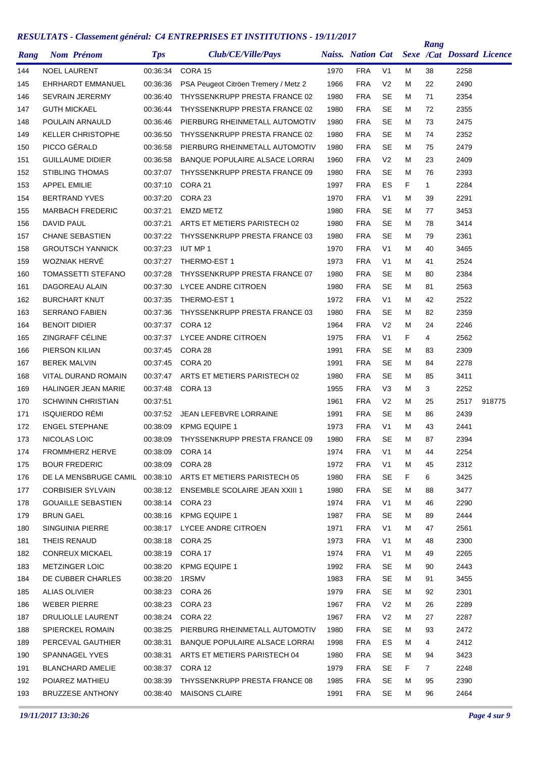| Rang |                      | <b>Nom Prénom</b>          | <b>Tps</b> | Club/CE/Ville/Pays                    |      | <b>Naiss.</b> Nation Cat |                |    | Rang         | <b>Sexe /Cat Dossard Licence</b> |        |
|------|----------------------|----------------------------|------------|---------------------------------------|------|--------------------------|----------------|----|--------------|----------------------------------|--------|
| 144  | <b>NOEL LAURENT</b>  |                            | 00:36:34   | CORA 15                               | 1970 | <b>FRA</b>               | V <sub>1</sub> | м  | 38           | 2258                             |        |
| 145  |                      | EHRHARDT EMMANUEL          | 00:36:36   | PSA Peugeot Citröen Tremery / Metz 2  | 1966 | <b>FRA</b>               | V <sub>2</sub> | M  | 22           | 2490                             |        |
| 146  |                      | <b>SEVRAIN JERERMY</b>     | 00:36:40   | THYSSENKRUPP PRESTA FRANCE 02         | 1980 | <b>FRA</b>               | <b>SE</b>      | M  | 71           | 2354                             |        |
| 147  | <b>GUTH MICKAEL</b>  |                            | 00:36:44   | THYSSENKRUPP PRESTA FRANCE 02         | 1980 | <b>FRA</b>               | <b>SE</b>      | M  | 72           | 2355                             |        |
| 148  |                      | POULAIN ARNAULD            | 00:36:46   | PIERBURG RHEINMETALL AUTOMOTIV        | 1980 | <b>FRA</b>               | SE             | м  | 73           | 2475                             |        |
| 149  |                      | <b>KELLER CHRISTOPHE</b>   | 00:36:50   | THYSSENKRUPP PRESTA FRANCE 02         | 1980 | <b>FRA</b>               | SE             | м  | 74           | 2352                             |        |
| 150  | PICCO GÉRALD         |                            | 00:36:58   | PIERBURG RHEINMETALL AUTOMOTIV        | 1980 | <b>FRA</b>               | <b>SE</b>      | M  | 75           | 2479                             |        |
| 151  |                      | <b>GUILLAUME DIDIER</b>    | 00:36:58   | <b>BANQUE POPULAIRE ALSACE LORRAI</b> | 1960 | <b>FRA</b>               | V <sub>2</sub> | M  | 23           | 2409                             |        |
| 152  |                      | <b>STIBLING THOMAS</b>     | 00:37:07   | THYSSENKRUPP PRESTA FRANCE 09         | 1980 | <b>FRA</b>               | <b>SE</b>      | M  | 76           | 2393                             |        |
| 153  | <b>APPEL EMILIE</b>  |                            | 00:37:10   | CORA 21                               | 1997 | <b>FRA</b>               | ES             | F. | $\mathbf{1}$ | 2284                             |        |
| 154  |                      | <b>BERTRAND YVES</b>       | 00:37:20   | CORA 23                               | 1970 | <b>FRA</b>               | V <sub>1</sub> | M  | 39           | 2291                             |        |
| 155  |                      | <b>MARBACH FREDERIC</b>    | 00:37:21   | <b>EMZD METZ</b>                      | 1980 | <b>FRA</b>               | SE             | M  | 77           | 3453                             |        |
| 156  | DAVID PAUL           |                            | 00:37:21   | ARTS ET METIERS PARISTECH 02          | 1980 | <b>FRA</b>               | <b>SE</b>      | M  | 78           | 3414                             |        |
| 157  |                      | <b>CHANE SEBASTIEN</b>     | 00:37:22   | THYSSENKRUPP PRESTA FRANCE 03         | 1980 | <b>FRA</b>               | <b>SE</b>      | M  | 79           | 2361                             |        |
| 158  |                      | <b>GROUTSCH YANNICK</b>    | 00:37:23   | <b>IUT MP 1</b>                       | 1970 | <b>FRA</b>               | V <sub>1</sub> | м  | 40           | 3465                             |        |
| 159  |                      | WOZNIAK HERVÉ              | 00:37:27   | THERMO-EST 1                          | 1973 | <b>FRA</b>               | V <sub>1</sub> | M  | 41           | 2524                             |        |
| 160  |                      | <b>TOMASSETTI STEFANO</b>  | 00:37:28   | THYSSENKRUPP PRESTA FRANCE 07         | 1980 | <b>FRA</b>               | SE             | M  | 80           | 2384                             |        |
| 161  |                      | DAGOREAU ALAIN             | 00:37:30   | LYCEE ANDRE CITROEN                   | 1980 | <b>FRA</b>               | <b>SE</b>      | M  | 81           | 2563                             |        |
| 162  |                      | <b>BURCHART KNUT</b>       | 00:37:35   | THERMO-EST 1                          | 1972 | <b>FRA</b>               | V <sub>1</sub> | M  | 42           | 2522                             |        |
| 163  |                      | <b>SERRANO FABIEN</b>      | 00:37:36   | THYSSENKRUPP PRESTA FRANCE 03         | 1980 | <b>FRA</b>               | SE             | м  | 82           | 2359                             |        |
| 164  | <b>BENOIT DIDIER</b> |                            | 00:37:37   | CORA 12                               | 1964 | <b>FRA</b>               | V <sub>2</sub> | M  | 24           | 2246                             |        |
| 165  |                      | <b>ZINGRAFF CÉLINE</b>     | 00:37:37   | LYCEE ANDRE CITROEN                   | 1975 | <b>FRA</b>               | V <sub>1</sub> | F  | 4            | 2562                             |        |
| 166  | PIERSON KILIAN       |                            | 00:37:45   | CORA 28                               | 1991 | <b>FRA</b>               | <b>SE</b>      | M  | 83           | 2309                             |        |
| 167  | <b>BEREK MALVIN</b>  |                            | 00:37:45   | CORA 20                               | 1991 | <b>FRA</b>               | <b>SE</b>      | M  | 84           | 2278                             |        |
| 168  |                      | VITAL DURAND ROMAIN        | 00:37:47   | ARTS ET METIERS PARISTECH 02          | 1980 | <b>FRA</b>               | SE             | M  | 85           | 3411                             |        |
| 169  |                      | <b>HALINGER JEAN MARIE</b> | 00:37:48   | CORA 13                               | 1955 | <b>FRA</b>               | V <sub>3</sub> | M  | 3            | 2252                             |        |
| 170  |                      | <b>SCHWINN CHRISTIAN</b>   | 00:37:51   |                                       | 1961 | <b>FRA</b>               | V <sub>2</sub> | M  | 25           | 2517                             | 918775 |
| 171  |                      | <b>ISQUIERDO RÉMI</b>      | 00:37:52   | <b>JEAN LEFEBVRE LORRAINE</b>         | 1991 | <b>FRA</b>               | <b>SE</b>      | M  | 86           | 2439                             |        |
| 172  |                      | <b>ENGEL STEPHANE</b>      | 00:38:09   | <b>KPMG EQUIPE 1</b>                  | 1973 | <b>FRA</b>               | V <sub>1</sub> | M  | 43           | 2441                             |        |
| 173  | NICOLAS LOIC         |                            | 00:38:09   | THYSSENKRUPP PRESTA FRANCE 09         | 1980 | <b>FRA</b>               | SE             | M  | 87           | 2394                             |        |
| 174  |                      | <b>FROMMHERZ HERVE</b>     | 00:38:09   | CORA 14                               | 1974 | <b>FRA</b>               | V1             | M  | 44           | 2254                             |        |
| 175  |                      | <b>BOUR FREDERIC</b>       | 00:38:09   | CORA 28                               | 1972 | <b>FRA</b>               | V <sub>1</sub> | м  | 45           | 2312                             |        |
| 176  |                      | DE LA MENSBRUGE CAMIL      |            | 00:38:10 ARTS ET METIERS PARISTECH 05 | 1980 | <b>FRA</b>               | <b>SE</b>      | F. | 6            | 3425                             |        |
| 177  |                      | <b>CORBISIER SYLVAIN</b>   | 00:38:12   | <b>ENSEMBLE SCOLAIRE JEAN XXIII 1</b> | 1980 | <b>FRA</b>               | SE             | м  | 88           | 3477                             |        |
| 178  |                      | <b>GOUAILLE SEBASTIEN</b>  | 00:38:14   | CORA 23                               | 1974 | <b>FRA</b>               | V <sub>1</sub> | м  | 46           | 2290                             |        |
| 179  | BRUN GAEL            |                            | 00:38:16   | KPMG EQUIPE 1                         | 1987 | <b>FRA</b>               | SE             | м  | 89           | 2444                             |        |
| 180  |                      | SINGUINIA PIERRE           | 00:38:17   | LYCEE ANDRE CITROEN                   | 1971 | <b>FRA</b>               | V <sub>1</sub> | м  | 47           | 2561                             |        |
| 181  | THEIS RENAUD         |                            |            | 00:38:18 CORA 25                      | 1973 | <b>FRA</b>               | V1             | м  | 48           | 2300                             |        |
| 182  |                      | <b>CONREUX MICKAEL</b>     | 00:38:19   | CORA 17                               | 1974 | <b>FRA</b>               | V1             | м  | 49           | 2265                             |        |
| 183  |                      | <b>METZINGER LOIC</b>      | 00:38:20   | <b>KPMG EQUIPE 1</b>                  | 1992 | <b>FRA</b>               | SE             | м  | 90           | 2443                             |        |
| 184  |                      | DE CUBBER CHARLES          | 00:38:20   | 1RSMV                                 | 1983 | <b>FRA</b>               | SE             | м  | 91           | 3455                             |        |
| 185  | ALIAS OLIVIER        |                            | 00:38:23   | CORA 26                               | 1979 | <b>FRA</b>               | SE             | м  | 92           | 2301                             |        |
| 186  | WEBER PIERRE         |                            | 00:38:23   | CORA 23                               | 1967 | <b>FRA</b>               | V <sub>2</sub> | М  |              | 2289                             |        |
| 187  |                      | DRULIOLLE LAURENT          |            | 00:38:24 CORA 22                      | 1967 | <b>FRA</b>               | V <sub>2</sub> | м  | 26<br>27     | 2287                             |        |
|      |                      |                            |            |                                       |      |                          |                |    |              |                                  |        |
| 188  |                      | <b>SPIERCKEL ROMAIN</b>    | 00:38:25   | PIERBURG RHEINMETALL AUTOMOTIV        | 1980 | <b>FRA</b>               | <b>SE</b>      | м  | 93           | 2472                             |        |
| 189  |                      | PERCEVAL GAUTHIER          | 00:38:31   | BANQUE POPULAIRE ALSACE LORRAI        | 1998 | <b>FRA</b>               | ES             | м  | 4            | 2412                             |        |
| 190  |                      | SPANNAGEL YVES             | 00:38:31   | ARTS ET METIERS PARISTECH 04          | 1980 | <b>FRA</b>               | SE             | м  | 94           | 3423                             |        |
| 191  |                      | <b>BLANCHARD AMELIE</b>    | 00:38:37   | CORA 12                               | 1979 | <b>FRA</b>               | SE             | F. | $\mathbf{7}$ | 2248                             |        |
| 192  |                      | POIAREZ MATHIEU            | 00:38:39   | THYSSENKRUPP PRESTA FRANCE 08         | 1985 | <b>FRA</b>               | SE             | м  | 95           | 2390                             |        |
| 193  |                      | <b>BRUZZESE ANTHONY</b>    | 00:38:40   | <b>MAISONS CLAIRE</b>                 | 1991 | <b>FRA</b>               | SE             | м  | 96           | 2464                             |        |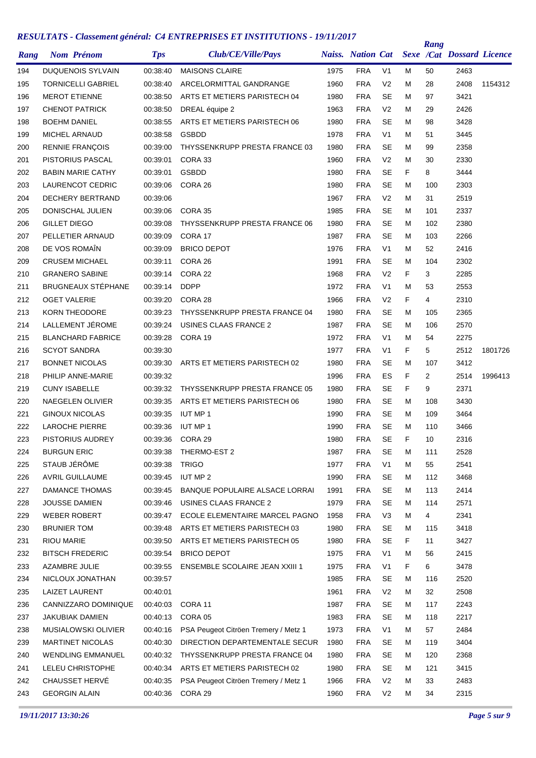| Rang |                      | <b>Nom Prénom</b>         | <b>Tps</b> | Club/CE/Ville/Pays                   |      | <b>Naiss.</b> Nation Cat |                |    | Rang | <b>Sexe /Cat Dossard Licence</b> |         |
|------|----------------------|---------------------------|------------|--------------------------------------|------|--------------------------|----------------|----|------|----------------------------------|---------|
| 194  |                      | <b>DUQUENOIS SYLVAIN</b>  | 00:38:40   | <b>MAISONS CLAIRE</b>                | 1975 | <b>FRA</b>               | V <sub>1</sub> | м  | 50   | 2463                             |         |
| 195  |                      | <b>TORNICELLI GABRIEL</b> | 00:38:40   | ARCELORMITTAL GANDRANGE              | 1960 | <b>FRA</b>               | V <sub>2</sub> | м  | 28   | 2408                             | 1154312 |
| 196  |                      | <b>MEROT ETIENNE</b>      | 00:38:50   | ARTS ET METIERS PARISTECH 04         | 1980 | <b>FRA</b>               | SE             | м  | 97   | 3421                             |         |
| 197  |                      | <b>CHENOT PATRICK</b>     | 00:38:50   | DREAL équipe 2                       | 1963 | <b>FRA</b>               | V <sub>2</sub> | м  | 29   | 2426                             |         |
| 198  | <b>BOEHM DANIEL</b>  |                           | 00:38:55   | ARTS ET METIERS PARISTECH 06         | 1980 | <b>FRA</b>               | SE             | М  | 98   | 3428                             |         |
| 199  |                      | <b>MICHEL ARNAUD</b>      | 00:38:58   | <b>GSBDD</b>                         | 1978 | <b>FRA</b>               | V <sub>1</sub> | м  | 51   | 3445                             |         |
| 200  |                      | <b>RENNIE FRANÇOIS</b>    | 00:39:00   | THYSSENKRUPP PRESTA FRANCE 03        | 1980 | <b>FRA</b>               | SE             | м  | 99   | 2358                             |         |
| 201  |                      | PISTORIUS PASCAL          | 00:39:01   | CORA 33                              | 1960 | <b>FRA</b>               | V <sub>2</sub> | м  | 30   | 2330                             |         |
| 202  |                      | <b>BABIN MARIE CATHY</b>  | 00:39:01   | <b>GSBDD</b>                         | 1980 | <b>FRA</b>               | <b>SE</b>      | F  | 8    | 3444                             |         |
| 203  |                      | LAURENCOT CEDRIC          | 00:39:06   | CORA 26                              | 1980 | <b>FRA</b>               | <b>SE</b>      | М  | 100  | 2303                             |         |
| 204  |                      | DECHERY BERTRAND          | 00:39:06   |                                      | 1967 | <b>FRA</b>               | V <sub>2</sub> | м  | 31   | 2519                             |         |
| 205  |                      | DONISCHAL JULIEN          | 00:39:06   | CORA 35                              | 1985 | <b>FRA</b>               | SE             | М  | 101  | 2337                             |         |
| 206  | <b>GILLET DIEGO</b>  |                           | 00:39:08   | THYSSENKRUPP PRESTA FRANCE 06        | 1980 | <b>FRA</b>               | <b>SE</b>      | м  | 102  | 2380                             |         |
| 207  |                      | PELLETIER ARNAUD          | 00:39:09   | CORA 17                              | 1987 | <b>FRA</b>               | <b>SE</b>      | М  | 103  | 2266                             |         |
| 208  |                      | DE VOS ROMAÎN             | 00:39:09   | <b>BRICO DEPOT</b>                   | 1976 | <b>FRA</b>               | V <sub>1</sub> | М  | 52   | 2416                             |         |
| 209  |                      | <b>CRUSEM MICHAEL</b>     | 00:39:11   | CORA 26                              | 1991 | <b>FRA</b>               | <b>SE</b>      | М  | 104  | 2302                             |         |
| 210  |                      | <b>GRANERO SABINE</b>     | 00:39:14   | CORA 22                              | 1968 | <b>FRA</b>               | V <sub>2</sub> | F  | 3    | 2285                             |         |
| 211  |                      | <b>BRUGNEAUX STÉPHANE</b> | 00:39:14   | <b>DDPP</b>                          | 1972 | <b>FRA</b>               | V <sub>1</sub> | м  | 53   | 2553                             |         |
| 212  | <b>OGET VALERIE</b>  |                           | 00:39:20   | CORA 28                              | 1966 | <b>FRA</b>               | V <sub>2</sub> | F  | 4    | 2310                             |         |
| 213  |                      | <b>KORN THEODORE</b>      | 00:39:23   | THYSSENKRUPP PRESTA FRANCE 04        | 1980 | <b>FRA</b>               | SE             | м  | 105  | 2365                             |         |
| 214  |                      | LALLEMENT JÉROME          | 00:39:24   | USINES CLAAS FRANCE 2                | 1987 | <b>FRA</b>               | <b>SE</b>      | М  | 106  | 2570                             |         |
| 215  |                      | <b>BLANCHARD FABRICE</b>  | 00:39:28   | CORA 19                              | 1972 | <b>FRA</b>               | V <sub>1</sub> | М  | 54   | 2275                             |         |
| 216  |                      | <b>SCYOT SANDRA</b>       | 00:39:30   |                                      | 1977 | <b>FRA</b>               | V <sub>1</sub> | F  | 5    | 2512                             | 1801726 |
| 217  |                      | <b>BONNET NICOLAS</b>     | 00:39:30   | ARTS ET METIERS PARISTECH 02         | 1980 | <b>FRA</b>               | <b>SE</b>      | м  | 107  | 3412                             |         |
| 218  |                      | PHILIP ANNE-MARIE         | 00:39:32   |                                      | 1996 | <b>FRA</b>               | ES             | F  | 2    | 2514                             | 1996413 |
| 219  | <b>CUNY ISABELLE</b> |                           | 00:39:32   | THYSSENKRUPP PRESTA FRANCE 05        | 1980 | <b>FRA</b>               | SE             | F  | 9    | 2371                             |         |
| 220  |                      | NAEGELEN OLIVIER          | 00:39:35   | ARTS ET METIERS PARISTECH 06         | 1980 | <b>FRA</b>               | <b>SE</b>      | М  | 108  | 3430                             |         |
| 221  |                      | <b>GINOUX NICOLAS</b>     | 00:39:35   | <b>IUT MP1</b>                       | 1990 | <b>FRA</b>               | <b>SE</b>      | М  | 109  | 3464                             |         |
| 222  |                      | <b>LAROCHE PIERRE</b>     | 00:39:36   | <b>IUT MP 1</b>                      | 1990 | <b>FRA</b>               | SE             | м  | 110  | 3466                             |         |
| 223  |                      | PISTORIUS AUDREY          | 00:39:36   | CORA 29                              | 1980 | <b>FRA</b>               | <b>SE</b>      | F  | 10   | 2316                             |         |
| 224  | <b>BURGUN ERIC</b>   |                           | 00:39:38   | THERMO-EST 2                         | 1987 | <b>FRA</b>               | <b>SE</b>      | M  | 111  | 2528                             |         |
| 225  | STAUB JÉRÔME         |                           | 00:39:38   | <b>TRIGO</b>                         | 1977 | <b>FRA</b>               | V <sub>1</sub> | М  | 55   | 2541                             |         |
| 226  |                      | <b>AVRIL GUILLAUME</b>    | 00:39:45   | IUT MP 2                             | 1990 | <b>FRA</b>               | <b>SE</b>      | М  | 112  | 3468                             |         |
| 227  |                      | <b>DAMANCE THOMAS</b>     | 00:39:45   | BANQUE POPULAIRE ALSACE LORRAI       | 1991 | <b>FRA</b>               | <b>SE</b>      | М  | 113  | 2414                             |         |
| 228  |                      | <b>JOUSSE DAMIEN</b>      | 00:39:46   | USINES CLAAS FRANCE 2                | 1979 | <b>FRA</b>               | SE             | м  | 114  | 2571                             |         |
| 229  |                      | <b>WEBER ROBERT</b>       | 00:39:47   | ECOLE ELEMENTAIRE MARCEL PAGNO       | 1958 | <b>FRA</b>               | V <sub>3</sub> | м  | 4    | 2341                             |         |
| 230  | <b>BRUNIER TOM</b>   |                           | 00:39:48   | ARTS ET METIERS PARISTECH 03         | 1980 | <b>FRA</b>               | <b>SE</b>      | М  | 115  | 3418                             |         |
| 231  | <b>RIOU MARIE</b>    |                           | 00:39:50   | ARTS ET METIERS PARISTECH 05         | 1980 | <b>FRA</b>               | SE             | F. | 11   | 3427                             |         |
| 232  |                      | <b>BITSCH FREDERIC</b>    | 00:39:54   | <b>BRICO DEPOT</b>                   | 1975 | <b>FRA</b>               | V <sub>1</sub> | М  | 56   | 2415                             |         |
| 233  | AZAMBRE JULIE        |                           | 00:39:55   | ENSEMBLE SCOLAIRE JEAN XXIII 1       | 1975 | <b>FRA</b>               | V <sub>1</sub> | F  | 6    | 3478                             |         |
| 234  |                      | NICLOUX JONATHAN          | 00:39:57   |                                      | 1985 | <b>FRA</b>               | <b>SE</b>      | М  | 116  | 2520                             |         |
| 235  |                      | <b>LAIZET LAURENT</b>     | 00:40:01   |                                      | 1961 | <b>FRA</b>               | V <sub>2</sub> | М  | 32   | 2508                             |         |
| 236  |                      | CANNIZZARO DOMINIQUE      | 00:40:03   | CORA 11                              | 1987 | <b>FRA</b>               | <b>SE</b>      | М  | 117  | 2243                             |         |
| 237  |                      | <b>JAKUBIAK DAMIEN</b>    | 00:40:13   | CORA 05                              | 1983 | <b>FRA</b>               | SE             | М  | 118  | 2217                             |         |
| 238  |                      | MUSIALOWSKI OLIVIER       | 00:40:16   | PSA Peugeot Citröen Tremery / Metz 1 | 1973 | <b>FRA</b>               | V <sub>1</sub> | М  | 57   | 2484                             |         |
| 239  |                      | <b>MARTINET NICOLAS</b>   | 00:40:30   | DIRECTION DEPARTEMENTALE SECUR       | 1980 | <b>FRA</b>               | <b>SE</b>      | М  | 119  | 3404                             |         |
| 240  |                      | <b>WENDLING EMMANUEL</b>  | 00:40:32   | THYSSENKRUPP PRESTA FRANCE 04        | 1980 | <b>FRA</b>               | <b>SE</b>      | М  | 120  | 2368                             |         |
| 241  |                      | LELEU CHRISTOPHE          | 00:40:34   | ARTS ET METIERS PARISTECH 02         | 1980 | <b>FRA</b>               | <b>SE</b>      | М  | 121  | 3415                             |         |
| 242  |                      | CHAUSSET HERVE            | 00:40:35   | PSA Peugeot Citröen Tremery / Metz 1 | 1966 | <b>FRA</b>               | V <sub>2</sub> | М  | 33   | 2483                             |         |
| 243  |                      | <b>GEORGIN ALAIN</b>      | 00:40:36   | CORA 29                              | 1960 | <b>FRA</b>               | V <sub>2</sub> | м  | 34   | 2315                             |         |
|      |                      |                           |            |                                      |      |                          |                |    |      |                                  |         |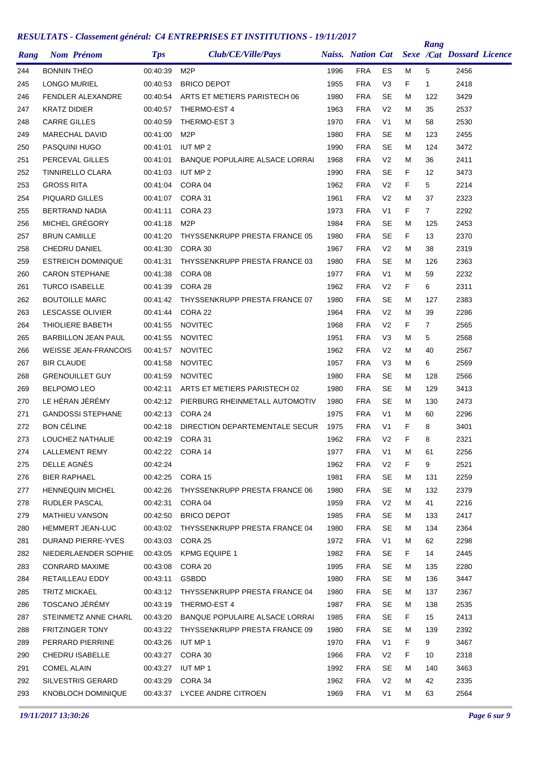| Rang       | <b>Nom Prénom</b>           | <b>Tps</b> | Club/CE/Ville/Pays                      |      | <b>Naiss.</b> Nation Cat |                |         | Rang           | Sexe /Cat Dossard Licence |  |
|------------|-----------------------------|------------|-----------------------------------------|------|--------------------------|----------------|---------|----------------|---------------------------|--|
| 244        | <b>BONNIN THEO</b>          | 00:40:39   | M <sub>2</sub> P                        | 1996 | <b>FRA</b>               | ES             | M       | 5              | 2456                      |  |
| 245        | <b>LONGO MURIEL</b>         | 00:40:53   | <b>BRICO DEPOT</b>                      | 1955 | <b>FRA</b>               | V <sub>3</sub> | F       | $\mathbf{1}$   | 2418                      |  |
| 246        | <b>FENDLER ALEXANDRE</b>    | 00:40:54   | ARTS ET METIERS PARISTECH 06            | 1980 | <b>FRA</b>               | <b>SE</b>      | м       | 122            | 3429                      |  |
| 247        | <b>KRATZ DIDIER</b>         | 00:40:57   | THERMO-EST 4                            | 1963 | <b>FRA</b>               | V <sub>2</sub> | М       | 35             | 2537                      |  |
| 248        | <b>CARRE GILLES</b>         | 00:40:59   | THERMO-EST 3                            | 1970 | <b>FRA</b>               | V <sub>1</sub> | М       | 58             | 2530                      |  |
| 249        | <b>MARECHAL DAVID</b>       | 00:41:00   | M <sub>2</sub> P                        | 1980 | <b>FRA</b>               | <b>SE</b>      | М       | 123            | 2455                      |  |
| 250        | PASQUINI HUGO               | 00:41:01   | <b>IUT MP 2</b>                         | 1990 | <b>FRA</b>               | <b>SE</b>      | М       | 124            | 3472                      |  |
| 251        | PERCEVAL GILLES             | 00:41:01   | <b>BANQUE POPULAIRE ALSACE LORRAI</b>   | 1968 | <b>FRA</b>               | V <sub>2</sub> | М       | 36             | 2411                      |  |
| 252        | TINNIRELLO CLARA            | 00:41:03   | <b>IUT MP 2</b>                         | 1990 | <b>FRA</b>               | <b>SE</b>      | F       | 12             | 3473                      |  |
| 253        | <b>GROSS RITA</b>           | 00:41:04   | CORA 04                                 | 1962 | <b>FRA</b>               | V <sub>2</sub> | F       | 5              | 2214                      |  |
| 254        | PIQUARD GILLES              | 00:41:07   | CORA 31                                 | 1961 | <b>FRA</b>               | V <sub>2</sub> | М       | 37             | 2323                      |  |
| 255        | <b>BERTRAND NADIA</b>       | 00:41:11   | CORA 23                                 | 1973 | <b>FRA</b>               | V <sub>1</sub> | F       | $\overline{7}$ | 2292                      |  |
| 256        | MICHEL GRÉGORY              | 00:41:18   | M <sub>2</sub> P                        | 1984 | <b>FRA</b>               | SE             | М       | 125            | 2453                      |  |
| 257        | <b>BRUN CAMILLE</b>         | 00:41:20   | THYSSENKRUPP PRESTA FRANCE 05           | 1980 | <b>FRA</b>               | <b>SE</b>      | F       | 13             | 2370                      |  |
| 258        | <b>CHEDRU DANIEL</b>        | 00:41:30   | CORA 30                                 | 1967 | <b>FRA</b>               | V <sub>2</sub> | М       | 38             | 2319                      |  |
| 259        | <b>ESTREICH DOMINIQUE</b>   | 00:41:31   | THYSSENKRUPP PRESTA FRANCE 03           | 1980 | <b>FRA</b>               | <b>SE</b>      | М       | 126            | 2363                      |  |
| 260        | <b>CARON STEPHANE</b>       | 00:41:38   | CORA 08                                 | 1977 | <b>FRA</b>               | V <sub>1</sub> | М       | 59             | 2232                      |  |
| 261        | <b>TURCO ISABELLE</b>       | 00:41:39   | CORA 28                                 | 1962 | <b>FRA</b>               | V <sub>2</sub> | F       | 6              | 2311                      |  |
| 262        | <b>BOUTOILLE MARC</b>       | 00:41:42   | THYSSENKRUPP PRESTA FRANCE 07           | 1980 | <b>FRA</b>               | <b>SE</b>      | М       | 127            | 2383                      |  |
| 263        | <b>LESCASSE OLIVIER</b>     | 00:41:44   | CORA 22                                 | 1964 | <b>FRA</b>               | V <sub>2</sub> | M       | 39             | 2286                      |  |
| 264        | THIOLIERE BABETH            | 00:41:55   | <b>NOVITEC</b>                          | 1968 | <b>FRA</b>               | V <sub>2</sub> | F       | $\overline{7}$ | 2565                      |  |
| 265        | <b>BARBILLON JEAN PAUL</b>  | 00:41:55   | <b>NOVITEC</b>                          | 1951 | <b>FRA</b>               | V <sub>3</sub> | М       | 5              | 2568                      |  |
| 266        | <b>WEISSE JEAN-FRANCOIS</b> | 00:41:57   | <b>NOVITEC</b>                          | 1962 | <b>FRA</b>               | V <sub>2</sub> | М       | 40             | 2567                      |  |
| 267        | <b>BIR CLAUDE</b>           | 00:41:58   | <b>NOVITEC</b>                          | 1957 | <b>FRA</b>               | V <sub>3</sub> | м       | 6              | 2569                      |  |
| 268        | <b>GRENOUILLET GUY</b>      | 00:41:59   | <b>NOVITEC</b>                          | 1980 | <b>FRA</b>               | SE             | М       | 128            | 2566                      |  |
| 269        | <b>BELPOMO LEO</b>          | 00:42:11   | ARTS ET METIERS PARISTECH 02            | 1980 | <b>FRA</b>               | <b>SE</b>      | М       | 129            | 3413                      |  |
| 270        | LE HÉRAN JÉRÉMY             | 00:42:12   | PIERBURG RHEINMETALL AUTOMOTIV          | 1980 | <b>FRA</b>               | <b>SE</b>      | М       | 130            | 2473                      |  |
| 271        | <b>GANDOSSI STEPHANE</b>    | 00:42:13   | CORA 24                                 | 1975 | <b>FRA</b>               | V <sub>1</sub> | М       | 60             | 2296                      |  |
| 272        | <b>BON CÉLINE</b>           | 00:42:18   | DIRECTION DEPARTEMENTALE SECUR          | 1975 | <b>FRA</b>               | V <sub>1</sub> | F       | 8              | 3401                      |  |
| 273        | LOUCHEZ NATHALIE            | 00:42:19   | CORA 31                                 | 1962 | <b>FRA</b>               | V <sub>2</sub> | F       | 8              | 2321                      |  |
| 274        | <b>LALLEMENT REMY</b>       |            | 00:42:22 CORA 14                        | 1977 | <b>FRA</b>               | V1             | M       | 61             | 2256                      |  |
| 275        | DELLE AGNES                 | 00:42:24   |                                         | 1962 | <b>FRA</b>               | V <sub>2</sub> | F.      | 9              | 2521                      |  |
| 276        | BIER RAPHAEL                |            | 00:42:25 CORA 15                        | 1981 | <b>FRA</b>               | <b>SE</b>      | м       | 131            | 2259                      |  |
| 277        | <b>HENNEQUIN MICHEL</b>     | 00:42:26   | THYSSENKRUPP PRESTA FRANCE 06           | 1980 | <b>FRA</b>               | <b>SE</b>      | M       | 132            | 2379                      |  |
| 278        | RUDLER PASCAL               | 00:42:31   | CORA 04                                 | 1959 | <b>FRA</b>               | V <sub>2</sub> | м       | 41             | 2216                      |  |
| 279        | MATHIEU VANSON              | 00:42:50   | <b>BRICO DEPOT</b>                      | 1985 | <b>FRA</b>               | <b>SE</b>      | м       | 133            | 2417                      |  |
| 280        | HEMMERT JEAN-LUC            | 00:43:02   | THYSSENKRUPP PRESTA FRANCE 04           | 1980 | <b>FRA</b>               | <b>SE</b>      | м       | 134            | 2364                      |  |
| 281        | DURAND PIERRE-YVES          |            | 00:43:03 CORA 25                        | 1972 | <b>FRA</b>               | V <sub>1</sub> | м       | 62             | 2298                      |  |
| 282        | NIEDERLAENDER SOPHIE        |            | 00:43:05 KPMG EQUIPE 1                  | 1982 | <b>FRA</b>               | SE             | F.      | 14             | 2445                      |  |
| 283        | CONRARD MAXIME              | 00:43:08   | CORA 20                                 | 1995 | FRA                      | <b>SE</b>      | M       | 135            | 2280                      |  |
| 284        | RETAILLEAU EDDY             | 00:43:11   | GSBDD                                   | 1980 | <b>FRA</b>               | <b>SE</b>      | м       | 136            | 3447                      |  |
| 285        | <b>TRITZ MICKAEL</b>        |            | 00:43:12 THYSSENKRUPP PRESTA FRANCE 04  | 1980 | <b>FRA</b>               | <b>SE</b>      | м       | 137            | 2367                      |  |
|            | TOSCANO JÉRÉMY              | 00:43:19   | THERMO-EST 4                            | 1987 | FRA                      | <b>SE</b>      |         | 138            | 2535                      |  |
| 286<br>287 | STEINMETZ ANNE CHARL        |            | 00:43:20 BANQUE POPULAIRE ALSACE LORRAI | 1985 | <b>FRA</b>               | SE             | м<br>F. | 15             | 2413                      |  |
|            |                             |            |                                         |      |                          |                |         |                |                           |  |
| 288        | <b>FRITZINGER TONY</b>      |            | 00:43:22 THYSSENKRUPP PRESTA FRANCE 09  | 1980 | <b>FRA</b>               | <b>SE</b>      | M       | 139            | 2392                      |  |
| 289        | PERRARD PIERRINE            | 00:43:26   | IUT MP 1                                | 1970 | FRA                      | V <sub>1</sub> | F.      | 9              | 3467                      |  |
| 290        | CHEDRU ISABELLE             |            | 00:43:27 CORA 30                        | 1966 | FRA                      | V <sub>2</sub> | F.      | 10             | 2318                      |  |
| 291        | <b>COMEL ALAIN</b>          |            | 00:43:27 IUT MP 1                       | 1992 | <b>FRA</b>               | <b>SE</b>      | M       | 140            | 3463                      |  |
| 292        | <b>SILVESTRIS GERARD</b>    |            | 00:43:29 CORA 34                        | 1962 | <b>FRA</b>               | V <sub>2</sub> | м       | 42             | 2335                      |  |
| 293        | KNOBLOCH DOMINIQUE          |            | 00:43:37 LYCEE ANDRE CITROEN            | 1969 | <b>FRA</b>               | V <sub>1</sub> | м       | 63             | 2564                      |  |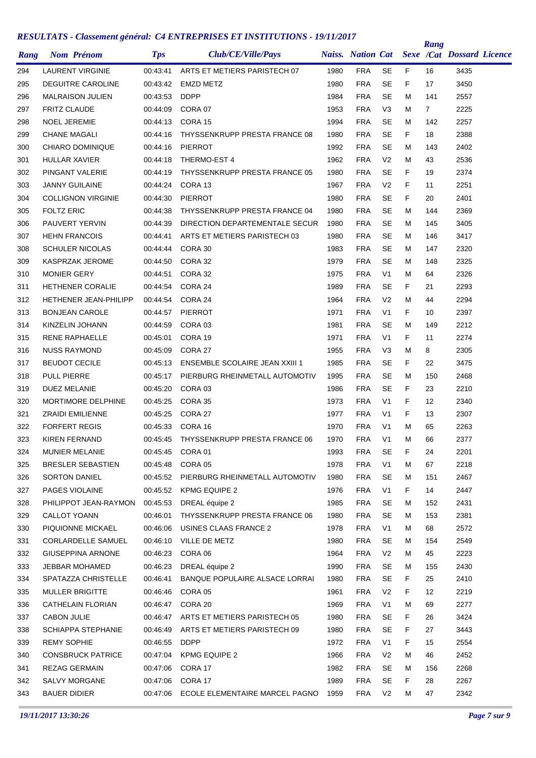| Rang |                     | <b>Nom Prénom</b>            | <b>Tps</b>           | Club/CE/Ville/Pays                          |      | <b>Naiss.</b> Nation Cat |                |    | Rang              | <b>Sexe /Cat Dossard Licence</b> |  |
|------|---------------------|------------------------------|----------------------|---------------------------------------------|------|--------------------------|----------------|----|-------------------|----------------------------------|--|
| 294  |                     | <b>LAURENT VIRGINIE</b>      | 00:43:41             | ARTS ET METIERS PARISTECH 07                | 1980 | <b>FRA</b>               | <b>SE</b>      | F. | 16                | 3435                             |  |
| 295  |                     | <b>DEGUITRE CAROLINE</b>     | 00:43:42             | <b>EMZD METZ</b>                            | 1980 | <b>FRA</b>               | <b>SE</b>      | F  | 17                | 3450                             |  |
| 296  |                     | <b>MALRAISON JULIEN</b>      | 00:43:53             | <b>DDPP</b>                                 | 1984 | <b>FRA</b>               | <b>SE</b>      | М  | 141               | 2557                             |  |
| 297  | <b>FRITZ CLAUDE</b> |                              | 00:44:09             | CORA 07                                     | 1953 | <b>FRA</b>               | V <sub>3</sub> | м  | $\overline{7}$    | 2225                             |  |
| 298  | <b>NOEL JEREMIE</b> |                              | 00:44:13             | CORA 15                                     | 1994 | <b>FRA</b>               | <b>SE</b>      | м  | 142               | 2257                             |  |
| 299  | <b>CHANE MAGALI</b> |                              | 00:44:16             | THYSSENKRUPP PRESTA FRANCE 08               | 1980 | <b>FRA</b>               | SE             | F. | 18                | 2388                             |  |
| 300  |                     | <b>CHIARO DOMINIQUE</b>      | 00:44:16             | <b>PIERROT</b>                              | 1992 | <b>FRA</b>               | <b>SE</b>      | М  | 143               | 2402                             |  |
| 301  | HULLAR XAVIER       |                              | 00:44:18             | THERMO-EST 4                                | 1962 | <b>FRA</b>               | V <sub>2</sub> | M  | 43                | 2536                             |  |
| 302  |                     | PINGANT VALERIE              | 00:44:19             | THYSSENKRUPP PRESTA FRANCE 05               | 1980 | <b>FRA</b>               | <b>SE</b>      | F  | 19                | 2374                             |  |
| 303  |                     | <b>JANNY GUILAINE</b>        | 00:44:24             | CORA 13                                     | 1967 | <b>FRA</b>               | V <sub>2</sub> | F  | 11                | 2251                             |  |
| 304  |                     | <b>COLLIGNON VIRGINIE</b>    | 00:44:30             | <b>PIERROT</b>                              | 1980 | <b>FRA</b>               | <b>SE</b>      | F  | 20                | 2401                             |  |
| 305  | <b>FOLTZ ERIC</b>   |                              | 00:44:38             | THYSSENKRUPP PRESTA FRANCE 04               | 1980 | <b>FRA</b>               | <b>SE</b>      | Μ  | 144               | 2369                             |  |
| 306  |                     | PAUVERT YERVIN               | 00:44:39             | DIRECTION DEPARTEMENTALE SECUR              | 1980 | <b>FRA</b>               | SE             | М  | 145               | 3405                             |  |
| 307  |                     | <b>HEHN FRANCOIS</b>         | 00:44:41             | ARTS ET METIERS PARISTECH 03                | 1980 | <b>FRA</b>               | <b>SE</b>      | Μ  | 146               | 3417                             |  |
| 308  |                     | <b>SCHULER NICOLAS</b>       | 00:44:44             | CORA 30                                     | 1983 | <b>FRA</b>               | <b>SE</b>      | м  | 147               | 2320                             |  |
| 309  |                     | KASPRZAK JEROME              | 00:44:50             | CORA 32                                     | 1979 | <b>FRA</b>               | <b>SE</b>      | м  | 148               | 2325                             |  |
| 310  | <b>MONIER GERY</b>  |                              | 00:44:51             | CORA 32                                     | 1975 | <b>FRA</b>               | V <sub>1</sub> | М  | 64                | 2326                             |  |
| 311  |                     | <b>HETHENER CORALIE</b>      | 00:44:54             | CORA 24                                     | 1989 | <b>FRA</b>               | SE             | F  | 21                | 2293                             |  |
| 312  |                     | <b>HETHENER JEAN-PHILIPP</b> | 00:44:54             | CORA 24                                     | 1964 | <b>FRA</b>               | V <sub>2</sub> | M  | 44                | 2294                             |  |
| 313  |                     | <b>BONJEAN CAROLE</b>        | 00:44:57             | <b>PIERROT</b>                              | 1971 | <b>FRA</b>               | V1             | F  | 10                | 2397                             |  |
| 314  |                     | KINZELIN JOHANN              | 00:44:59             | CORA 03                                     | 1981 | <b>FRA</b>               | SE             | М  | 149               | 2212                             |  |
| 315  |                     | RENE RAPHAELLE               | 00:45:01             | CORA 19                                     | 1971 | <b>FRA</b>               | V <sub>1</sub> | F  | 11                | 2274                             |  |
| 316  |                     | <b>NUSS RAYMOND</b>          | 00:45:09             | CORA 27                                     | 1955 | <b>FRA</b>               | V3             | М  | 8                 | 2305                             |  |
| 317  |                     | <b>BEUDOT CECILE</b>         | 00:45:13             | <b>ENSEMBLE SCOLAIRE JEAN XXIII 1</b>       | 1985 | <b>FRA</b>               | SE             | F  | 22                | 3475                             |  |
| 318  | <b>PULL PIERRE</b>  |                              | 00:45:17             | PIERBURG RHEINMETALL AUTOMOTIV              | 1995 | <b>FRA</b>               | <b>SE</b>      | M  | 150               | 2468                             |  |
| 319  | <b>DUEZ MELANIE</b> |                              | 00:45:20             | CORA 03                                     | 1986 | <b>FRA</b>               | <b>SE</b>      | F  | 23                | 2210                             |  |
| 320  |                     | MORTIMORE DELPHINE           | 00:45:25             | CORA 35                                     | 1973 | <b>FRA</b>               | V <sub>1</sub> | F  | $12 \overline{ }$ | 2340                             |  |
| 321  |                     | <b>ZRAIDI EMILIENNE</b>      | 00:45:25             | CORA 27                                     | 1977 | <b>FRA</b>               | V <sub>1</sub> | F  | 13                | 2307                             |  |
| 322  |                     | <b>FORFERT REGIS</b>         | 00:45:33             | CORA 16                                     | 1970 | <b>FRA</b>               | V1             | М  | 65                | 2263                             |  |
| 323  |                     | <b>KIREN FERNAND</b>         | 00:45:45             | THYSSENKRUPP PRESTA FRANCE 06               | 1970 | <b>FRA</b>               | V <sub>1</sub> | M  | 66                | 2377                             |  |
| 324  |                     | <b>MUNIER MELANIE</b>        | 00:45:45             | CORA 01                                     | 1993 | <b>FRA</b>               | <b>SE</b>      | F  | 24                | 2201                             |  |
| 325  |                     | <b>BRESLER SEBASTIEN</b>     |                      | 00:45:48 CORA 05                            | 1978 | <b>FRA</b>               | V <sub>1</sub> | M  | 67                | 2218                             |  |
| 326  |                     | <b>SORTON DANIEL</b>         | 00:45:52             | PIERBURG RHEINMETALL AUTOMOTIV              | 1980 | <b>FRA</b>               | <b>SE</b>      | M  | 151               | 2467                             |  |
| 327  |                     | PAGES VIOLAINE               | 00:45:52             | <b>KPMG EQUIPE 2</b>                        | 1976 | <b>FRA</b>               | V <sub>1</sub> | F. | 14                | 2447                             |  |
| 328  |                     | PHILIPPOT JEAN-RAYMON        | 00:45:53             | DREAL équipe 2                              | 1985 | <b>FRA</b>               | SE             | M  | 152               | 2431                             |  |
| 329  | CALLOT YOANN        |                              | 00:46:01             | THYSSENKRUPP PRESTA FRANCE 06               | 1980 | <b>FRA</b>               | <b>SE</b>      | M  | 153               | 2381                             |  |
| 330  |                     | PIQUIONNE MICKAEL            | 00:46:06             | USINES CLAAS FRANCE 2                       | 1978 | <b>FRA</b>               | V <sub>1</sub> | м  | 68                | 2572                             |  |
| 331  |                     | <b>CORLARDELLE SAMUEL</b>    | 00:46:10             | VILLE DE METZ                               | 1980 | <b>FRA</b>               | <b>SE</b>      | M  | 154               | 2549                             |  |
| 332  |                     | <b>GIUSEPPINA ARNONE</b>     | 00:46:23             | CORA 06                                     | 1964 | <b>FRA</b>               | V <sub>2</sub> | м  | 45                | 2223                             |  |
| 333  |                     | JEBBAR MOHAMED               | 00:46:23             | DREAL équipe 2                              | 1990 | <b>FRA</b>               | <b>SE</b>      | M  | 155               | 2430                             |  |
| 334  |                     | SPATAZZA CHRISTELLE          | 00:46:41             | BANQUE POPULAIRE ALSACE LORRAI              | 1980 | <b>FRA</b>               | SE             | F. | 25                | 2410                             |  |
| 335  |                     | MULLER BRIGITTE              | 00:46:46             | CORA 05                                     | 1961 | <b>FRA</b>               | V <sub>2</sub> | F. | 12                | 2219                             |  |
| 336  |                     | CATHELAIN FLORIAN            | 00:46:47             | CORA 20                                     | 1969 | <b>FRA</b>               | V <sub>1</sub> | M  | 69                | 2277                             |  |
| 337  | <b>CABON JULIE</b>  |                              | 00:46:47             | ARTS ET METIERS PARISTECH 05                | 1980 | <b>FRA</b>               | <b>SE</b>      | F  | 26                | 3424                             |  |
|      |                     | SCHIAPPA STEPHANIE           |                      |                                             | 1980 | <b>FRA</b>               | <b>SE</b>      | F  |                   | 3443                             |  |
| 338  | <b>REMY SOPHIE</b>  |                              | 00:46:49<br>00:46:55 | ARTS ET METIERS PARISTECH 09<br><b>DDPP</b> | 1972 | <b>FRA</b>               | V <sub>1</sub> | F. | 27<br>15          | 2554                             |  |
| 339  |                     |                              |                      |                                             |      | <b>FRA</b>               |                |    |                   |                                  |  |
| 340  |                     | <b>CONSBRUCK PATRICE</b>     | 00:47:04             | KPMG EQUIPE 2                               | 1966 |                          | V <sub>2</sub> | Μ  | 46                | 2452                             |  |
| 341  |                     | REZAG GERMAIN                |                      | 00:47:06 CORA 17                            | 1982 | <b>FRA</b>               | <b>SE</b>      | м  | 156               | 2268                             |  |
| 342  |                     | SALVY MORGANE                |                      | 00:47:06 CORA 17                            | 1989 | FRA                      | SE             | F. | 28                | 2267                             |  |
| 343  | <b>BAUER DIDIER</b> |                              | 00:47:06             | ECOLE ELEMENTAIRE MARCEL PAGNO              | 1959 | <b>FRA</b>               | V <sub>2</sub> | Μ  | 47                | 2342                             |  |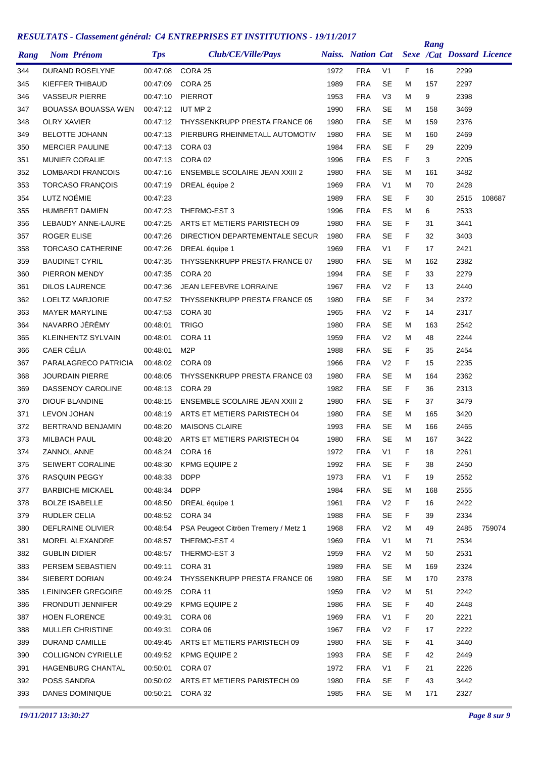| Rang       | <b>Nom Prénom</b>                       | <b>Tps</b>           | Club/CE/Ville/Pays                    |              | <b>Naiss. Nation Cat</b> |                             |          | Rang       | <b>Sexe /Cat Dossard Licence</b> |        |
|------------|-----------------------------------------|----------------------|---------------------------------------|--------------|--------------------------|-----------------------------|----------|------------|----------------------------------|--------|
| 344        | DURAND ROSELYNE                         | 00:47:08             | CORA 25                               | 1972         | <b>FRA</b>               | V <sub>1</sub>              | F        | 16         | 2299                             |        |
| 345        | KIEFFER THIBAUD                         | 00:47:09             | CORA 25                               | 1989         | <b>FRA</b>               | <b>SE</b>                   | м        | 157        | 2297                             |        |
| 346        | <b>VASSEUR PIERRE</b>                   | 00:47:10             | <b>PIERROT</b>                        | 1953         | <b>FRA</b>               | V <sub>3</sub>              | м        | 9          | 2398                             |        |
| 347        | BOUASSA BOUASSA WEN                     | 00:47:12             | <b>IUT MP 2</b>                       | 1990         | <b>FRA</b>               | SE                          | М        | 158        | 3469                             |        |
| 348        | <b>OLRY XAVIER</b>                      | 00:47:12             | THYSSENKRUPP PRESTA FRANCE 06         | 1980         | <b>FRA</b>               | <b>SE</b>                   | М        | 159        | 2376                             |        |
| 349        | <b>BELOTTE JOHANN</b>                   | 00:47:13             | PIERBURG RHEINMETALL AUTOMOTIV        | 1980         | <b>FRA</b>               | SE                          | М        | 160        | 2469                             |        |
| 350        | <b>MERCIER PAULINE</b>                  | 00:47:13             | CORA 03                               | 1984         | <b>FRA</b>               | <b>SE</b>                   | F        | 29         | 2209                             |        |
| 351        | <b>MUNIER CORALIE</b>                   | 00:47:13             | CORA 02                               | 1996         | <b>FRA</b>               | ES                          | F        | 3          | 2205                             |        |
| 352        | <b>LOMBARDI FRANCOIS</b>                | 00:47:16             | <b>ENSEMBLE SCOLAIRE JEAN XXIII 2</b> | 1980         | <b>FRA</b>               | <b>SE</b>                   | м        | 161        | 3482                             |        |
| 353        | <b>TORCASO FRANÇOIS</b>                 | 00:47:19             | DREAL équipe 2                        | 1969         | <b>FRA</b>               | V <sub>1</sub>              | М        | 70         | 2428                             |        |
| 354        | LUTZ NOÉMIE                             | 00:47:23             |                                       | 1989         | <b>FRA</b>               | SE                          | F        | 30         | 2515                             | 108687 |
| 355        | <b>HUMBERT DAMIEN</b>                   | 00:47:23             | THERMO-EST 3                          | 1996         | <b>FRA</b>               | ES                          | M        | 6          | 2533                             |        |
| 356        | LEBAUDY ANNE-LAURE                      | 00:47:25             | ARTS ET METIERS PARISTECH 09          | 1980         | <b>FRA</b>               | SE                          | F        | 31         | 3441                             |        |
| 357        | ROGER ELISE                             | 00:47:26             | DIRECTION DEPARTEMENTALE SECUR        | 1980         | <b>FRA</b>               | <b>SE</b>                   | F        | 32         | 3403                             |        |
| 358        | <b>TORCASO CATHERINE</b>                | 00:47:26             | DREAL équipe 1                        | 1969         | <b>FRA</b>               | V <sub>1</sub>              | F        | 17         | 2421                             |        |
| 359        | <b>BAUDINET CYRIL</b>                   | 00:47:35             | THYSSENKRUPP PRESTA FRANCE 07         | 1980         | <b>FRA</b>               | <b>SE</b>                   | м        | 162        | 2382                             |        |
| 360        | PIERRON MENDY                           | 00:47:35             | CORA 20                               | 1994         | <b>FRA</b>               | <b>SE</b>                   | F        | 33         | 2279                             |        |
| 361        | <b>DILOS LAURENCE</b>                   | 00:47:36             | <b>JEAN LEFEBVRE LORRAINE</b>         | 1967         | <b>FRA</b>               | V <sub>2</sub>              | F        | 13         | 2440                             |        |
| 362        | <b>LOELTZ MARJORIE</b>                  | 00:47:52             | THYSSENKRUPP PRESTA FRANCE 05         | 1980         | <b>FRA</b>               | <b>SE</b>                   | F        | 34         | 2372                             |        |
| 363        | <b>MAYER MARYLINE</b>                   | 00:47:53             | CORA 30                               | 1965         | <b>FRA</b>               | V <sub>2</sub>              | F        | 14         | 2317                             |        |
| 364        | NAVARRO JÉRÉMY                          | 00:48:01             | <b>TRIGO</b>                          | 1980         | <b>FRA</b>               | <b>SE</b>                   | м        | 163        | 2542                             |        |
| 365        | <b>KLEINHENTZ SYLVAIN</b>               | 00:48:01             | CORA 11                               | 1959         | <b>FRA</b>               | V <sub>2</sub>              | М        | 48         | 2244                             |        |
| 366        | CAER CÉLIA                              | 00:48:01             | M <sub>2</sub> P                      | 1988         | <b>FRA</b>               | SE                          | F.       | 35         | 2454                             |        |
| 367        | PARALAGRECO PATRICIA                    | 00:48:02             | CORA 09                               | 1966         | <b>FRA</b>               | V <sub>2</sub>              | F        | 15         | 2235                             |        |
| 368        | <b>JOURDAIN PIERRE</b>                  | 00:48:05             | THYSSENKRUPP PRESTA FRANCE 03         | 1980         | <b>FRA</b>               | <b>SE</b>                   | м        | 164        | 2362                             |        |
| 369        | <b>DASSENOY CAROLINE</b>                | 00:48:13             | CORA 29                               | 1982         | <b>FRA</b>               | <b>SE</b>                   | F.       | 36         | 2313                             |        |
| 370        | <b>DIOUF BLANDINE</b>                   | 00:48:15             | <b>ENSEMBLE SCOLAIRE JEAN XXIII 2</b> | 1980         | <b>FRA</b>               | <b>SE</b>                   | F        | 37         | 3479                             |        |
|            |                                         | 00:48:19             | ARTS ET METIERS PARISTECH 04          |              |                          | <b>SE</b>                   | м        |            |                                  |        |
| 371<br>372 | <b>LEVON JOHAN</b><br>BERTRAND BENJAMIN | 00:48:20             | <b>MAISONS CLAIRE</b>                 | 1980<br>1993 | <b>FRA</b><br><b>FRA</b> | <b>SE</b>                   | м        | 165        | 3420<br>2465                     |        |
|            | <b>MILBACH PAUL</b>                     |                      | ARTS ET METIERS PARISTECH 04          |              | <b>FRA</b>               | <b>SE</b>                   |          | 166<br>167 | 3422                             |        |
| 373        | <b>ZANNOL ANNE</b>                      | 00:48:20             | CORA 16                               | 1980<br>1972 | <b>FRA</b>               | V <sub>1</sub>              | М<br>F   |            | 2261                             |        |
| 374        |                                         | 00:48:24<br>00:48:30 |                                       |              |                          |                             |          | 18         |                                  |        |
| 375        | SEIWERT CORALINE<br>RASQUIN PEGGY       |                      | <b>KPMG EQUIPE 2</b><br><b>DDPP</b>   | 1992<br>1973 | <b>FRA</b><br><b>FRA</b> | SE<br>V <sub>1</sub>        | F<br>F.  | 38<br>19   | 2450<br>2552                     |        |
| 376        | <b>BARBICHE MICKAEL</b>                 | 00:48:33             | <b>DDPP</b>                           | 1984         | <b>FRA</b>               | <b>SE</b>                   |          |            | 2555                             |        |
| 377        |                                         | 00:48:34             | DREAL équipe 1                        |              |                          |                             | М        | 168        |                                  |        |
| 378        | <b>BOLZE ISABELLE</b><br>RUDLER CELIA   | 00:48:50             | CORA 34                               | 1961<br>1988 | <b>FRA</b><br><b>FRA</b> | V <sub>2</sub><br><b>SE</b> | F.<br>F. | 16<br>39   | 2422<br>2334                     |        |
| 379        |                                         | 00:48:52             |                                       |              |                          |                             |          |            |                                  |        |
| 380        | DEFLRAINE OLIVIER                       | 00:48:54             | PSA Peugeot Citröen Tremery / Metz 1  | 1968         | <b>FRA</b>               | V <sub>2</sub>              | М        | 49         | 2485                             | 759074 |
| 381        | MOREL ALEXANDRE                         | 00:48:57             | THERMO-EST 4                          | 1969         | <b>FRA</b>               | V <sub>1</sub>              | М        | 71         | 2534                             |        |
| 382        | <b>GUBLIN DIDIER</b>                    | 00:48:57             | THERMO-EST 3                          | 1959         | <b>FRA</b>               | V <sub>2</sub>              | М        | 50         | 2531                             |        |
| 383        | PERSEM SEBASTIEN                        | 00:49:11             | CORA 31                               | 1989         | <b>FRA</b>               | <b>SE</b>                   | М        | 169        | 2324                             |        |
| 384        | SIEBERT DORIAN                          | 00:49:24             | THYSSENKRUPP PRESTA FRANCE 06         | 1980         | <b>FRA</b>               | <b>SE</b>                   | м        | 170        | 2378                             |        |
| 385        | LEININGER GREGOIRE                      | 00:49:25             | CORA 11                               | 1959         | <b>FRA</b>               | V <sub>2</sub>              | М        | 51         | 2242                             |        |
| 386        | FRONDUTI JENNIFER                       | 00:49:29             | <b>KPMG EQUIPE 2</b>                  | 1986         | <b>FRA</b>               | <b>SE</b>                   | F.       | 40         | 2448                             |        |
| 387        | <b>HOEN FLORENCE</b>                    | 00:49:31             | CORA 06                               | 1969         | <b>FRA</b>               | V <sub>1</sub>              | F.       | 20         | 2221                             |        |
| 388        | MULLER CHRISTINE                        | 00:49:31             | CORA 06                               | 1967         | <b>FRA</b>               | V <sub>2</sub>              | F.       | 17         | 2222                             |        |
| 389        | DURAND CAMILLE                          | 00:49:45             | ARTS ET METIERS PARISTECH 09          | 1980         | <b>FRA</b>               | SE                          | F.       | 41         | 3440                             |        |
| 390        | <b>COLLIGNON CYRIELLE</b>               | 00:49:52             | KPMG EQUIPE 2                         | 1993         | <b>FRA</b>               | <b>SE</b>                   | F.       | 42         | 2449                             |        |
| 391        | HAGENBURG CHANTAL                       | 00:50:01             | CORA 07                               | 1972         | <b>FRA</b>               | V <sub>1</sub>              | F        | 21         | 2226                             |        |
| 392        | POSS SANDRA                             |                      | 00:50:02 ARTS ET METIERS PARISTECH 09 | 1980         | <b>FRA</b>               | <b>SE</b>                   | F.       | 43         | 3442                             |        |
| 393        | DANES DOMINIQUE                         | 00:50:21             | CORA 32                               | 1985         | <b>FRA</b>               | <b>SE</b>                   | М        | 171        | 2327                             |        |